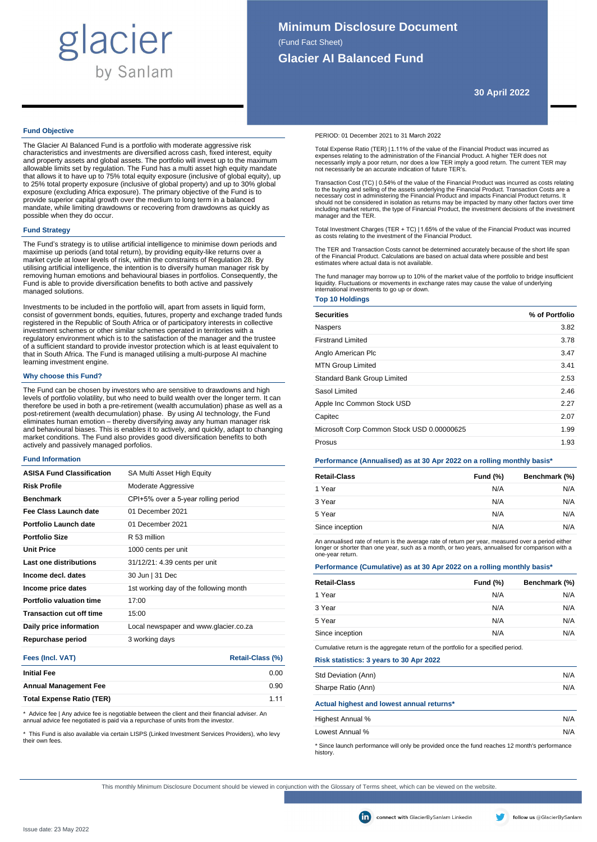# glacier by Sanlam

**30 April 2022**

# **Fund Objective**

The Glacier AI Balanced Fund is a portfolio with moderate aggressive risk characteristics and investments are diversified across cash, fixed interest, equity and property assets and global assets. The portfolio will invest up to the maximum allowable limits set by regulation. The Fund has a multi asset high equity mandate that allows it to have up to 75% total equity exposure (inclusive of global equity), up to 25% total property exposure (inclusive of global property) and up to 30% global exposure (excluding Africa exposure). The primary objective of the Fund is to provide superior capital growth over the medium to long term in a balanced mandate, while limiting drawdowns or recovering from drawdowns as quickly as possible when they do occur.

## **Fund Strategy**

The Fund's strategy is to utilise artificial intelligence to minimise down periods and maximise up periods (and total return), by providing equity-like returns over a market cycle at lower levels of risk, within the constraints of Regulation 28. By utilising artificial intelligence, the intention is to diversify human manager risk by removing human emotions and behavioural biases in portfolios. Consequently, the Fund is able to provide diversification benefits to both active and passively managed solutions.

Investments to be included in the portfolio will, apart from assets in liquid form, consist of government bonds, equities, futures, property and exchange traded funds registered in the Republic of South Africa or of participatory interests in collective investment schemes or other similar schemes operated in territories with a regulatory environment which is to the satisfaction of the manager and the trustee of a sufficient standard to provide investor protection which is at least equivalent to that in South Africa. The Fund is managed utilising a multi-purpose AI machine learning investment engine.

# **Why choose this Fund?**

The Fund can be chosen by investors who are sensitive to drawdowns and high levels of portfolio volatility, but who need to build wealth over the longer term. It can therefore be used in both a pre-retirement (wealth accumulation) phase as well as a post-retirement (wealth decumulation) phase. By using AI technology, the Fund<br>eliminates human emotion – thereby diversifying away any human manager risk<br>and behavioural biases. This is enables it to actively, and quickly market conditions. The Fund also provides good diversification benefits to both actively and passively managed porfolios.

#### **Fund Information**

| <b>ASISA Fund Classification</b> | SA Multi Asset High Equity             |
|----------------------------------|----------------------------------------|
| <b>Risk Profile</b>              | Moderate Aggressive                    |
| <b>Benchmark</b>                 | CPI+5% over a 5-year rolling period    |
| Fee Class Launch date            | 01 December 2021                       |
| Portfolio Launch date            | 01 December 2021                       |
| <b>Portfolio Size</b>            | R 53 million                           |
| <b>Unit Price</b>                | 1000 cents per unit                    |
| Last one distributions           | 31/12/21: 4.39 cents per unit          |
| Income decl. dates               | 30 Jun   31 Dec                        |
| Income price dates               | 1st working day of the following month |
| Portfolio valuation time         | 17:00                                  |
| <b>Transaction cut off time</b>  | 15:00                                  |
| Daily price information          | Local newspaper and www.glacier.co.za  |
| Repurchase period                | 3 working days                         |
| Fees (Incl. VAT)                 | Retail-Class (%)                       |

|                                  | $\cdots$ |
|----------------------------------|----------|
| <b>Initial Fee</b>               | 0.00     |
| <b>Annual Management Fee</b>     | 0.90     |
| <b>Total Expense Ratio (TER)</b> | 1 1 1    |
|                                  |          |

Advice fee | Any advice fee is negotiable between the client and their financial adviser. An annual advice fee negotiated is paid via a repurchase of units from the investor.

\* This Fund is also available via certain LISPS (Linked Investment Services Providers), who levy their

PERIOD: 01 December 2021 to 31 March 2022

Total Expense Ratio (TER) | 1.11% of the value of the Financial Product was incurred as expenses relating to the administration of the Financial Product. A higher TER does not necessarily imply a poor return, nor does a low TER imply a good return. The current TER may not necessarily be an accurate indication of future TER's.

Transaction Cost (TC) | 0.54% of the value of the Financial Product was incurred as costs relating to the buying and selling of the assets underlying the Financial Product. Transaction Costs are a<br>necessary cost in administering the Financial Product and impacts Financial Product returns. It<br>should not be considered in including market returns, the type of Financial Product, the investment decisions of the investment manager and the TER.

Total Investment Charges (TER + TC) | 1.65% of the value of the Financial Product was incurred as costs relating to the investment of the Financial Product.

The TER and Transaction Costs cannot be determined accurately because of the short life span of the Financial Product. Calculations are based on actual data where possible and best estimates where actual data is not available.

The fund manager may borrow up to 10% of the market value of the portfolio to bridge insufficient liquidity. Fluctuations or movements in exchange rates may cause the value of underlying international investments to go up or down.

## **Top 10 Holdings**

| <b>Securities</b>                          | % of Portfolio |
|--------------------------------------------|----------------|
| Naspers                                    | 3.82           |
| <b>Firstrand Limited</b>                   | 3.78           |
| Anglo American Plc                         | 3.47           |
| <b>MTN Group Limited</b>                   | 3.41           |
| <b>Standard Bank Group Limited</b>         | 2.53           |
| Sasol Limited                              | 2.46           |
| Apple Inc Common Stock USD                 | 2.27           |
| Capitec                                    | 2.07           |
| Microsoft Corp Common Stock USD 0.00000625 | 1.99           |
| Prosus                                     | 1.93           |

# **Performance (Annualised) as at 30 Apr 2022 on a rolling monthly basis\***

| <b>Retail-Class</b> | Fund $(\%)$ | Benchmark (%) |
|---------------------|-------------|---------------|
| 1 Year              | N/A         | N/A           |
| 3 Year              | N/A         | N/A           |
| 5 Year              | N/A         | N/A           |
| Since inception     | N/A         | N/A           |
|                     |             |               |

An annualised rate of return is the average rate of return per year, measured over a period either longer or shorter than one year, such as a month, or two years, annualised for comparison with a one-year return.

### **Performance (Cumulative) as at 30 Apr 2022 on a rolling monthly basis\***

| <b>Retail-Class</b> | Fund $(\%)$ | Benchmark (%) |
|---------------------|-------------|---------------|
| 1 Year              | N/A         | N/A           |
| 3 Year              | N/A         | N/A           |
| 5 Year              | N/A         | N/A           |
| Since inception     | N/A         | N/A           |

Cumulative return is the aggregate return of the portfolio for a specified period.

**Risk statistics: 3 years to 30 Apr 2022**

| Std Deviation (Ann)                                                                                                          | N/A |
|------------------------------------------------------------------------------------------------------------------------------|-----|
| Sharpe Ratio (Ann)                                                                                                           | N/A |
| Actual highest and lowest annual returns*                                                                                    |     |
| Highest Annual %                                                                                                             | N/A |
| Lowest Annual %                                                                                                              | N/A |
| $\star$ Observable and conservable while accepted and the first acceptance of $\circ$ and the set of conservation of $\circ$ |     |

te launch performance will only be provided once the fund reaches 12 month's performance bistory.<br>history

This monthly Minimum Disclosure Document should be viewed in conjunction with the Glossary of Terms sheet, which can be viewed on the website.